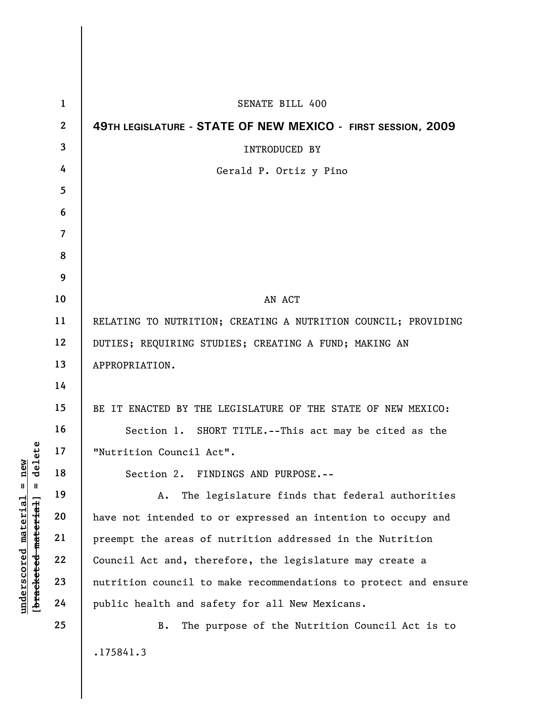|                     | $\mathbf{1}$   | <b>SENATE BILL 400</b>                                          |
|---------------------|----------------|-----------------------------------------------------------------|
|                     | $\mathbf{2}$   | 49TH LEGISLATURE - STATE OF NEW MEXICO - FIRST SESSION, 2009    |
|                     | 3              | <b>INTRODUCED BY</b>                                            |
|                     | 4              | Gerald P. Ortiz y Pino                                          |
|                     | 5              |                                                                 |
|                     | 6              |                                                                 |
|                     | $\overline{7}$ |                                                                 |
|                     | 8              |                                                                 |
|                     | 9              |                                                                 |
|                     | 10             | AN ACT                                                          |
|                     | 11             | RELATING TO NUTRITION; CREATING A NUTRITION COUNCIL; PROVIDING  |
|                     | 12             | DUTIES; REQUIRING STUDIES; CREATING A FUND; MAKING AN           |
|                     | 13             | APPROPRIATION.                                                  |
|                     | 14             |                                                                 |
|                     | 15             | BE IT ENACTED BY THE LEGISLATURE OF THE STATE OF NEW MEXICO:    |
|                     | 16             | Section 1. SHORT TITLE.--This act may be cited as the           |
| delete              | 17             | "Nutrition Council Act".                                        |
|                     | 18             | Section 2. FINDINGS AND PURPOSE.--                              |
| Ш                   | 19             | The legislature finds that federal authorities<br>Α.            |
| bracketed material] | 20             | have not intended to or expressed an intention to occupy and    |
|                     | 21             | preempt the areas of nutrition addressed in the Nutrition       |
|                     | 22             | Council Act and, therefore, the legislature may create a        |
|                     | 23             | nutrition council to make recommendations to protect and ensure |
|                     | 24             | public health and safety for all New Mexicans.                  |
|                     | 25             | The purpose of the Nutrition Council Act is to<br>B.            |
|                     |                | .175841.3                                                       |
|                     |                |                                                                 |

**underscored material = new**

[bracketed material] = delete  $underscored material = new$ 

I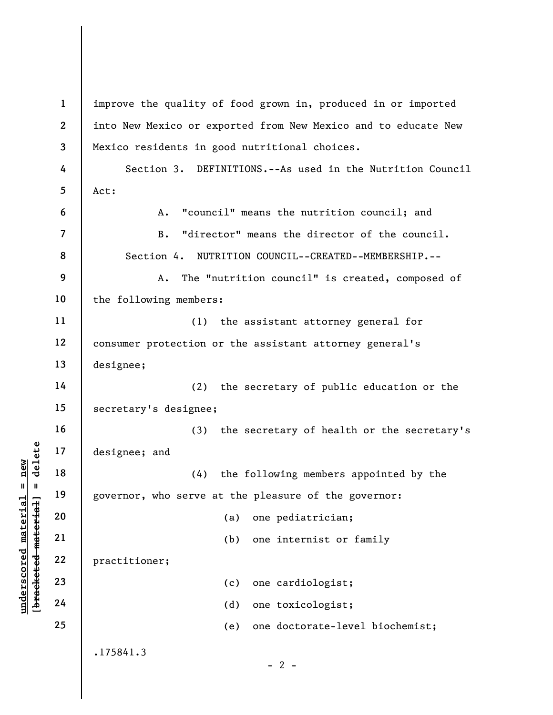**1**  improve the quality of food grown in, produced in or imported **2**  into New Mexico or exported from New Mexico and to educate New Mexico residents in good nutritional choices. **3 4**  Section 3. DEFINITIONS.--As used in the Nutrition Council **5**  Act: A. "council" means the nutrition council; and **6**  B. "director" means the director of the council. **7**  Section 4. NUTRITION COUNCIL--CREATED--MEMBERSHIP.-- **8 9**  A. The "nutrition council" is created, composed of **10**  the following members: **11**  (1) the assistant attorney general for **12**  consumer protection or the assistant attorney general's **13**  designee; **14**  (2) the secretary of public education or the **15**  secretary's designee; **16**  (3) the secretary of health or the secretary's  $b$ racketed material] = delete **[bracketed material] = delete 17**  designee; and **18**  (4) the following members appointed by the **19**  governor, who serve at the pleasure of the governor: **20**  (a) one pediatrician; **21**  (b) one internist or family **22**  practitioner; **23**  (c) one cardiologist; **24**  (d) one toxicologist; **25**  (e) one doctorate-level biochemist;.175841.3  $- 2 -$ 

**underscored material = new**

 $anderscored material = new$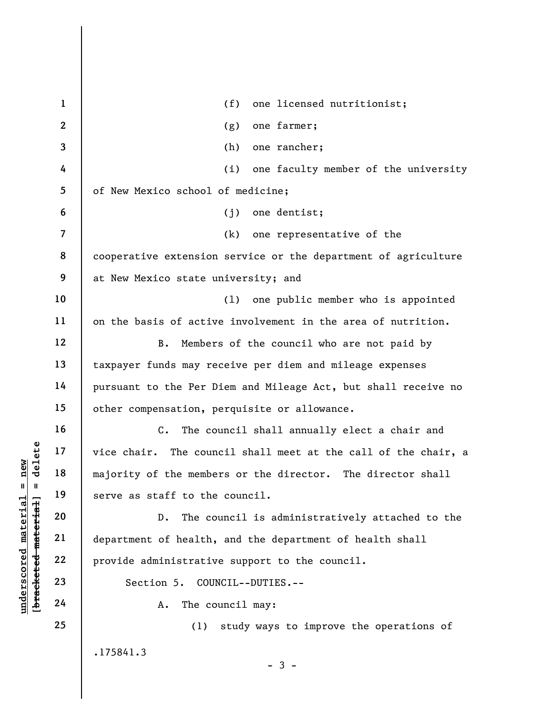| $\mathbf{1}$    | (f) one licensed nutritionist;                                 |
|-----------------|----------------------------------------------------------------|
| $\overline{2}$  | one farmer;<br>(g)                                             |
| 3               | (h)<br>one rancher;                                            |
| 4               | (i) one faculty member of the university                       |
| $5\phantom{.0}$ | of New Mexico school of medicine;                              |
| 6               | $(j)$ one dentist;                                             |
| $\overline{7}$  | (k) one representative of the                                  |
| 8               | cooperative extension service or the department of agriculture |
| 9               | at New Mexico state university; and                            |
| 10              | one public member who is appointed<br>(1)                      |
| 11              | on the basis of active involvement in the area of nutrition.   |
| 12              | Members of the council who are not paid by<br>В.               |
| 13              | taxpayer funds may receive per diem and mileage expenses       |
| 14              | pursuant to the Per Diem and Mileage Act, but shall receive no |
| 15              | other compensation, perquisite or allowance.                   |
| 16              | $\mathsf{C}$ .<br>The council shall annually elect a chair and |
| 17              | vice chair. The council shall meet at the call of the chair, a |
| 18              | majority of the members or the director. The director shall    |
| 19              | serve as staff to the council.                                 |
| 20              | The council is administratively attached to the<br>$D$ .       |
| 21              | department of health, and the department of health shall       |
| 22              | provide administrative support to the council.                 |
| 23              | Section 5. COUNCIL--DUTIES.--                                  |
| 24              | The council may:<br>A.                                         |
| 25              | study ways to improve the operations of<br>(1)                 |
|                 | .175841.3                                                      |
|                 | $-3-$                                                          |

[bracketed material] = delete **[bracketed material] = delete**  $underscored material = new$ **underscored material = new**

 $\vert$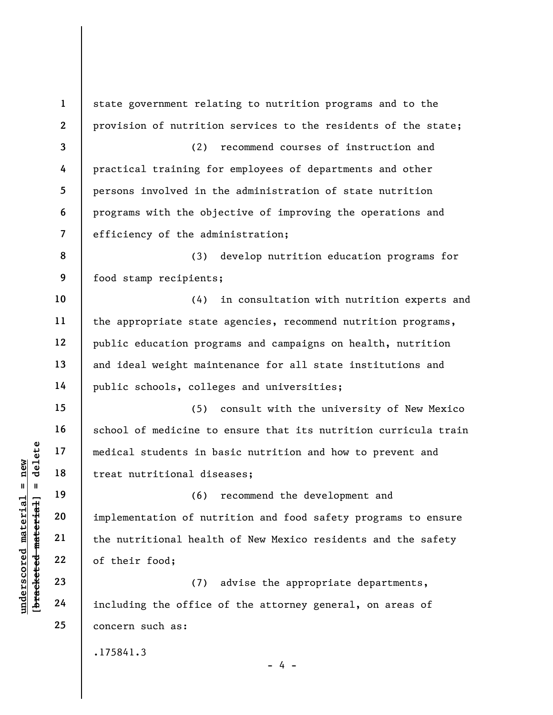**1 2 3 4 5 6 7 8 9 10 11 12 13 14 15 16 17 18 19 20 21 22 23 24 25**  .175841.3  $- 4$ state government relating to nutrition programs and to the provision of nutrition services to the residents of the state; (2) recommend courses of instruction and practical training for employees of departments and other persons involved in the administration of state nutrition programs with the objective of improving the operations and efficiency of the administration; (3) develop nutrition education programs for food stamp recipients; (4) in consultation with nutrition experts and the appropriate state agencies, recommend nutrition programs, public education programs and campaigns on health, nutrition and ideal weight maintenance for all state institutions and public schools, colleges and universities; (5) consult with the university of New Mexico school of medicine to ensure that its nutrition curricula train medical students in basic nutrition and how to prevent and treat nutritional diseases; (6) recommend the development and implementation of nutrition and food safety programs to ensure the nutritional health of New Mexico residents and the safety of their food; (7) advise the appropriate departments, including the office of the attorney general, on areas of concern such as:

 $b$ racketed material] = delete **[bracketed material] = delete** inderscored material = new **underscored material = new**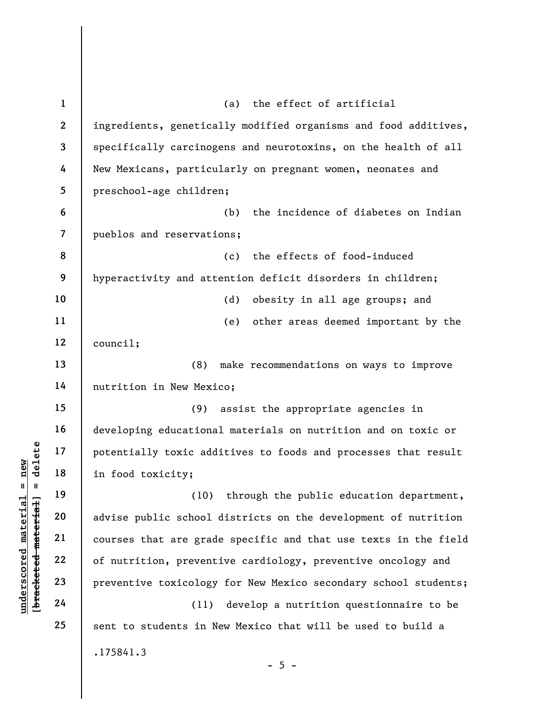| $\mathbf{1}$            | the effect of artificial<br>(a)                                 |
|-------------------------|-----------------------------------------------------------------|
| $\boldsymbol{2}$        | ingredients, genetically modified organisms and food additives, |
| 3                       | specifically carcinogens and neurotoxins, on the health of all  |
| 4                       | New Mexicans, particularly on pregnant women, neonates and      |
| 5                       | preschool-age children;                                         |
| 6                       | the incidence of diabetes on Indian<br>(b)                      |
| $\overline{\mathbf{z}}$ | pueblos and reservations;                                       |
| 8                       | the effects of food-induced<br>(c)                              |
| 9                       | hyperactivity and attention deficit disorders in children;      |
| 10                      | (d)<br>obesity in all age groups; and                           |
| 11                      | other areas deemed important by the<br>(e)                      |
| 12                      | count1;                                                         |
| 13                      | make recommendations on ways to improve<br>(8)                  |
| 14                      | nutrition in New Mexico;                                        |
| 15                      | assist the appropriate agencies in<br>(9)                       |
| 16                      | developing educational materials on nutrition and on toxic or   |
| 17                      | potentially toxic additives to foods and processes that result  |
| 18                      | in food toxicity;                                               |
| 19                      | (10) through the public education department,                   |
| 20                      | advise public school districts on the development of nutrition  |
| 21                      | courses that are grade specific and that use texts in the field |
| 22                      | of nutrition, preventive cardiology, preventive oncology and    |
| 23                      | preventive toxicology for New Mexico secondary school students; |
| 24                      | develop a nutrition questionnaire to be<br>(11)                 |
| 25                      | sent to students in New Mexico that will be used to build a     |
|                         | .175841.3                                                       |
|                         | $-5 -$                                                          |
|                         |                                                                 |

**underscored material = new [bracketed material] = delete**

[bracketed material] = delete  $underscored material = new$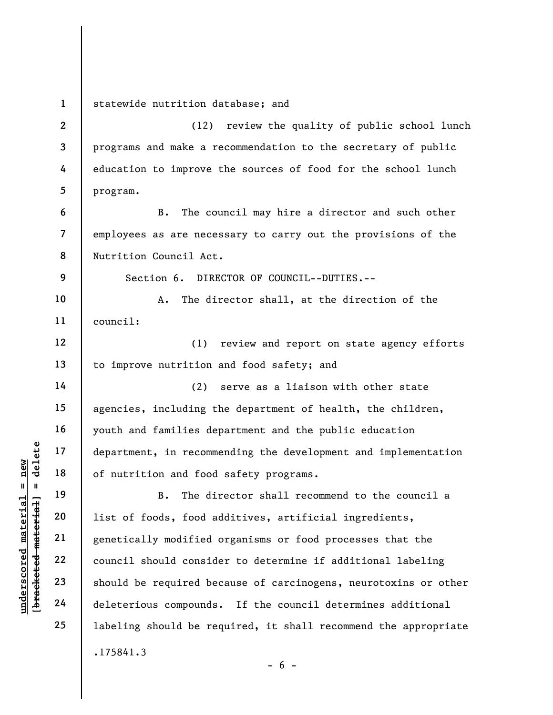**1 2 3 4 5 6 7 8 9 10 11 12 13 14 15 16 17 18 19 20 21 22 23 24 25**  .175841.3 statewide nutrition database; and (12) review the quality of public school lunch programs and make a recommendation to the secretary of public education to improve the sources of food for the school lunch program. B. The council may hire a director and such other employees as are necessary to carry out the provisions of the Nutrition Council Act. Section 6. DIRECTOR OF COUNCIL--DUTIES.-- A. The director shall, at the direction of the council: (1) review and report on state agency efforts to improve nutrition and food safety; and (2) serve as a liaison with other state agencies, including the department of health, the children, youth and families department and the public education department, in recommending the development and implementation of nutrition and food safety programs. B. The director shall recommend to the council a list of foods, food additives, artificial ingredients, genetically modified organisms or food processes that the council should consider to determine if additional labeling should be required because of carcinogens, neurotoxins or other deleterious compounds. If the council determines additional labeling should be required, it shall recommend the appropriate

 $$ **[bracketed material] = delete** inderscored material = new **underscored material = new**

 $- 6 -$